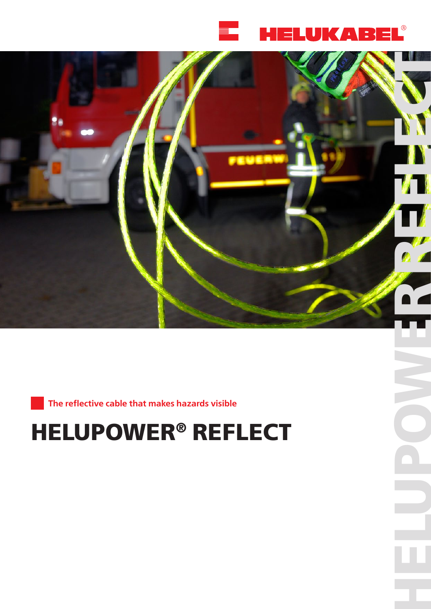



**The reflective cable that makes hazards visible** 

# **HELUPOWER ® REFLECT**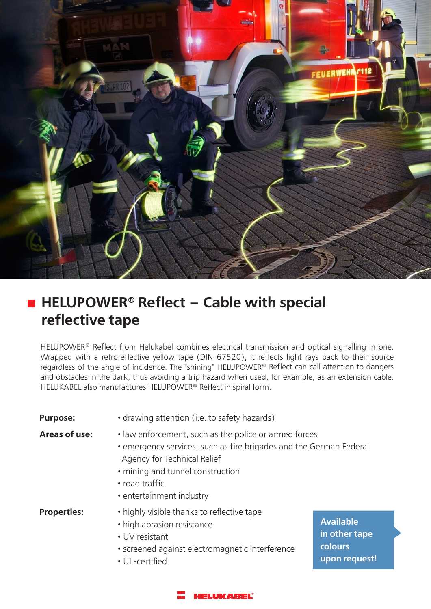

## ■ HELUPOWER<sup>®</sup> Reflect – Cable with special **reflective tape**

HELUPOWER® Reflect from Helukabel combines electrical transmission and optical signalling in one. Wrapped with a retroreflective yellow tape (DIN 67520), it reflects light rays back to their source regardless of the angle of incidence. The "shining" HELUPOWER® Reflect can call attention to dangers and obstacles in the dark, thus avoiding a trip hazard when used, for example, as an extension cable. HELUKABEL also manufactures HELUPOWER® Reflect in spiral form.

| <b>Purpose:</b>    | • drawing attention (i.e. to safety hazards)                                                                                                                                                                                                 |                                                               |  |
|--------------------|----------------------------------------------------------------------------------------------------------------------------------------------------------------------------------------------------------------------------------------------|---------------------------------------------------------------|--|
| Areas of use:      | • law enforcement, such as the police or armed forces<br>• emergency services, such as fire brigades and the German Federal<br>Agency for Technical Relief<br>• mining and tunnel construction<br>• road traffic<br>• entertainment industry |                                                               |  |
| <b>Properties:</b> | • highly visible thanks to reflective tape<br>• high abrasion resistance<br>• UV resistant<br>· screened against electromagnetic interference<br>• UL-certified                                                                              | <b>Available</b><br>in other tape<br>colours<br>upon request! |  |

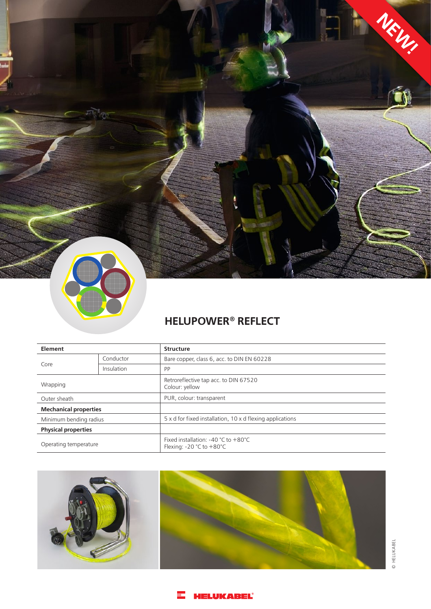

### **HELUPOWER® REFLECT**

| Element                      |            | <b>Structure</b>                                                         |
|------------------------------|------------|--------------------------------------------------------------------------|
| Core                         | Conductor  | Bare copper, class 6, acc. to DIN EN 60228                               |
|                              | Insulation | <b>PP</b>                                                                |
| Wrapping                     |            | Retroreflective tap acc. to DIN 67520<br>Colour: yellow                  |
| Outer sheath                 |            | PUR, colour: transparent                                                 |
| <b>Mechanical properties</b> |            |                                                                          |
| Minimum bending radius       |            | 5 x d for fixed installation, 10 x d flexing applications                |
| <b>Physical properties</b>   |            |                                                                          |
| Operating temperature        |            | Fixed installation: -40 $°C$ to $+80°C$<br>Flexing: $-20$ °C to $+80$ °C |



© HELUKABEL © HELUKABEL

**NEW!**

á

#### **HELUKABEL®** H